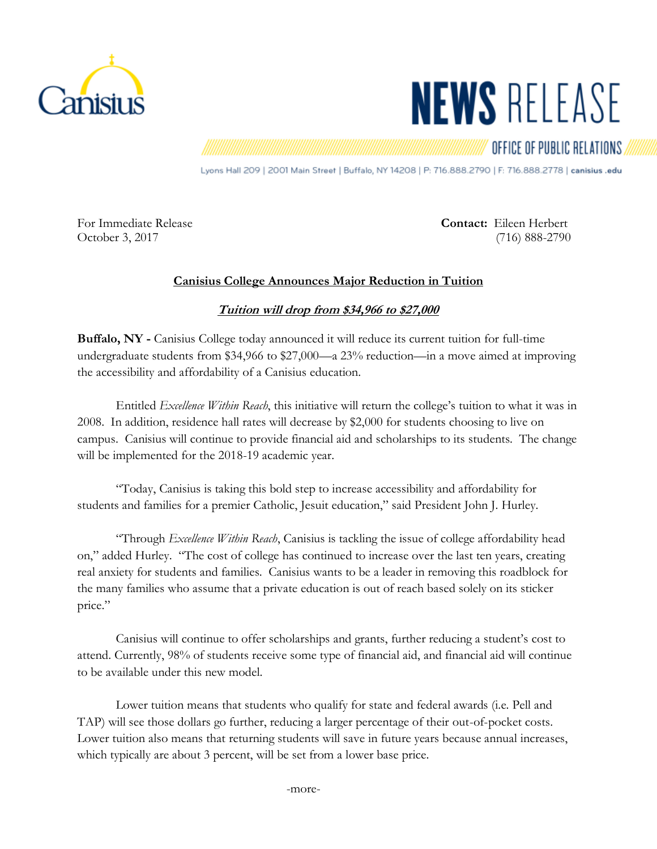

## **NEWS RELEASE**

## OFFICE OF PUBLIC RELATIONS

Lyons Hall 209 | 2001 Main Street | Buffalo, NY 14208 | P: 716.888.2790 | F: 716.888.2778 | canisius .edu

For Immediate Release **Contact:** Eileen Herbert October 3, 2017 (716) 888-2790

## **Canisius College Announces Major Reduction in Tuition**

## **Tuition will drop from \$34,966 to \$27,000**

**Buffalo, NY -** Canisius College today announced it will reduce its current tuition for full-time undergraduate students from \$34,966 to \$27,000—a 23% reduction—in a move aimed at improving the accessibility and affordability of a Canisius education.

Entitled *Excellence Within Reach*, this initiative will return the college's tuition to what it was in 2008. In addition, residence hall rates will decrease by \$2,000 for students choosing to live on campus. Canisius will continue to provide financial aid and scholarships to its students. The change will be implemented for the 2018-19 academic year.

"Today, Canisius is taking this bold step to increase accessibility and affordability for students and families for a premier Catholic, Jesuit education," said President John J. Hurley.

"Through *Excellence Within Reach*, Canisius is tackling the issue of college affordability head on," added Hurley. "The cost of college has continued to increase over the last ten years, creating real anxiety for students and families. Canisius wants to be a leader in removing this roadblock for the many families who assume that a private education is out of reach based solely on its sticker price."

Canisius will continue to offer scholarships and grants, further reducing a student's cost to attend. Currently, 98% of students receive some type of financial aid, and financial aid will continue to be available under this new model.

Lower tuition means that students who qualify for state and federal awards (i.e. Pell and TAP) will see those dollars go further, reducing a larger percentage of their out-of-pocket costs. Lower tuition also means that returning students will save in future years because annual increases, which typically are about 3 percent, will be set from a lower base price.